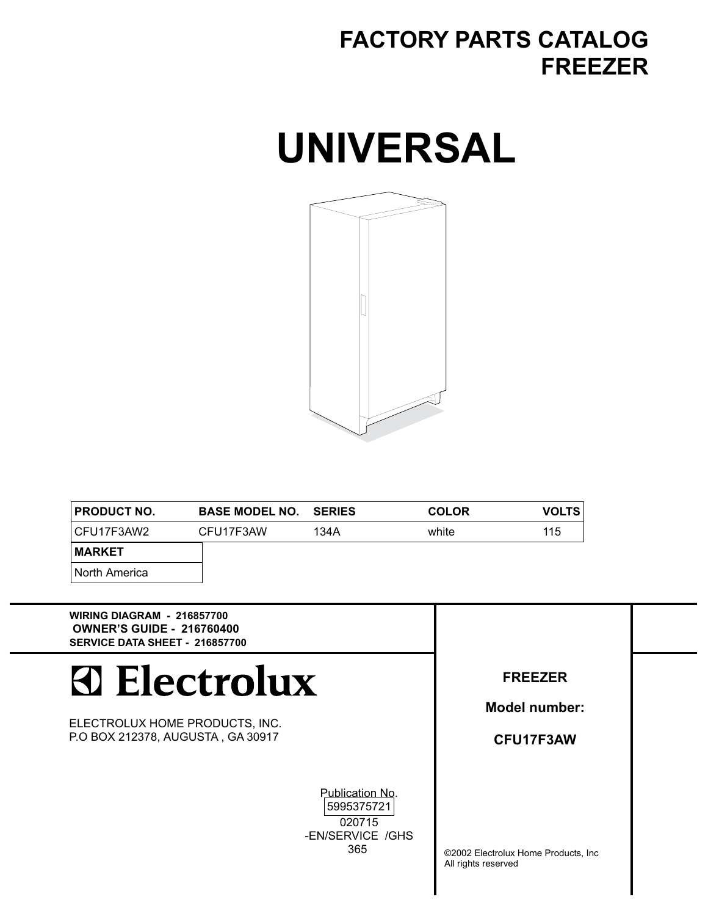### **FACTORY PARTS CATALOG FREEZER**

## **UNIVERSAL**



| <b>PRODUCT NO.</b> | <b>BASE MODEL NO. SERIES</b> |      | <b>COLOR</b> | <b>VOLTS</b> |
|--------------------|------------------------------|------|--------------|--------------|
| CFU17F3AW2         | CFU17F3AW                    | 134A | white        | 115          |
| <b>MARKET</b>      |                              |      |              |              |
| North America      |                              |      |              |              |

**WIRING DIAGRAM - 216857700 OWNER'S GUIDE - 216760400 SERVICE DATA SHEET - 216857700**

# **Electrolux**

ELECTROLUX HOME PRODUCTS, INC. P.O BOX 212378, AUGUSTA , GA 30917

Publication No.

5995375721 020715 -EN/SERVICE /GHS 365

**FREEZER**

**Model number:**

**CFU17F3AW**

©2002 Electrolux Home Products, Inc All rights reserved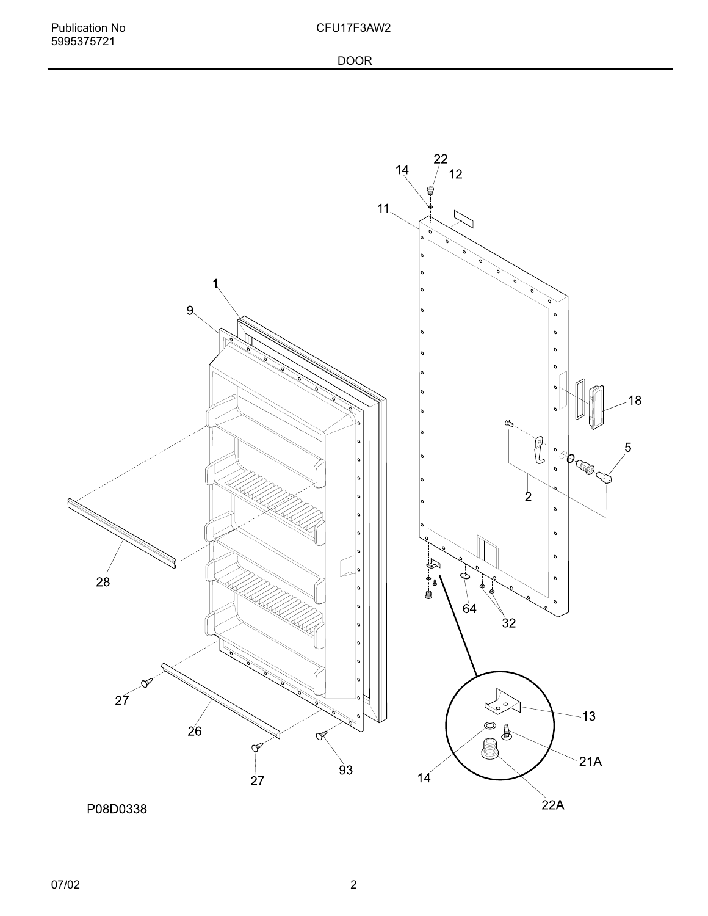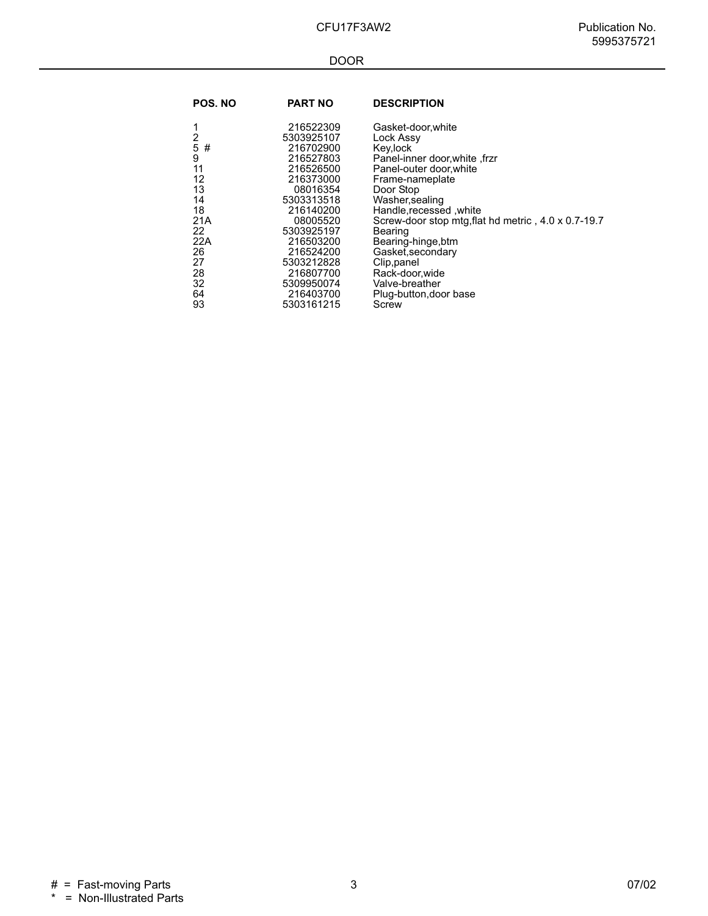#### DOOR

| POS. NO | <b>PART NO</b> | <b>DESCRIPTION</b>                                  |
|---------|----------------|-----------------------------------------------------|
| 1       | 216522309      | Gasket-door, white                                  |
| 2       | 5303925107     | Lock Assy                                           |
| 5<br>#  | 216702900      | Key,lock                                            |
| 9       | 216527803      | Panel-inner door, white, frzr                       |
| 11      | 216526500      | Panel-outer door, white                             |
| 12      | 216373000      | Frame-nameplate                                     |
| 13      | 08016354       | Door Stop                                           |
| 14      | 5303313518     | Washer, sealing                                     |
| 18      | 216140200      | Handle, recessed, white                             |
| 21A     | 08005520       | Screw-door stop mtg, flat hd metric, 4.0 x 0.7-19.7 |
| 22      | 5303925197     | Bearing                                             |
| 22A     | 216503200      | Bearing-hinge, btm                                  |
| 26      | 216524200      | Gasket, secondary                                   |
| 27      | 5303212828     | Clip, panel                                         |
| 28      | 216807700      | Rack-door, wide                                     |
| 32      | 5309950074     | Valve-breather                                      |
| 64      | 216403700      | Plug-button, door base                              |
| 93      | 5303161215     | Screw                                               |
|         |                |                                                     |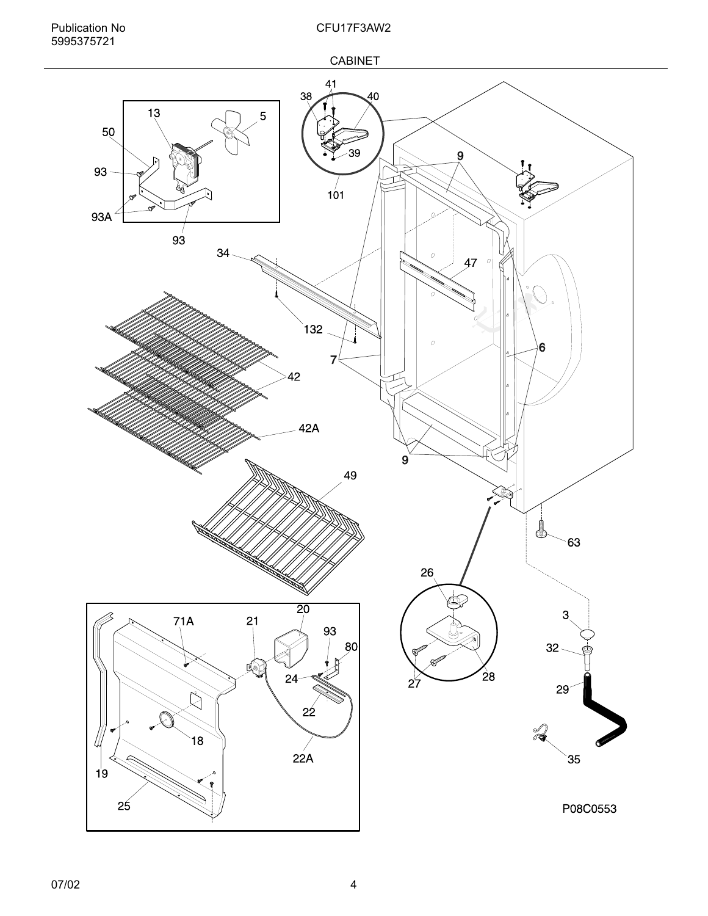

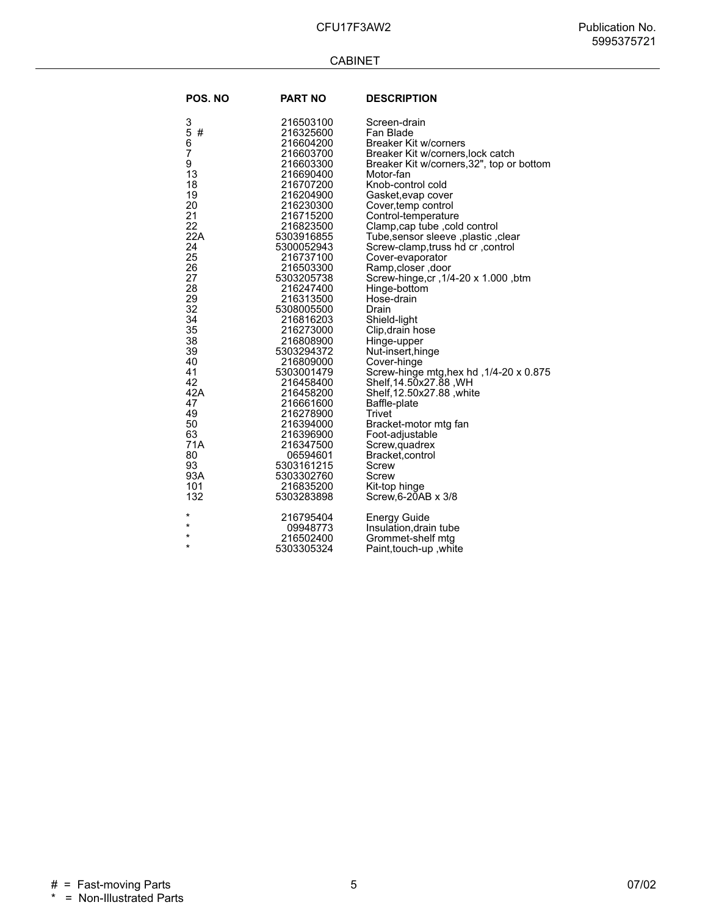#### CABINET

| <b>POS. NO</b>                                                                                                                                                                                                     | <b>PART NO</b>                                                                                                                                                                                                                                                                                                                                                                                                                                                             | <b>DESCRIPTION</b>                                                                                                                                                                                                                                                                                                                                                                                                                                                                                                                                                                                                                                                                                                                                                                                            |
|--------------------------------------------------------------------------------------------------------------------------------------------------------------------------------------------------------------------|----------------------------------------------------------------------------------------------------------------------------------------------------------------------------------------------------------------------------------------------------------------------------------------------------------------------------------------------------------------------------------------------------------------------------------------------------------------------------|---------------------------------------------------------------------------------------------------------------------------------------------------------------------------------------------------------------------------------------------------------------------------------------------------------------------------------------------------------------------------------------------------------------------------------------------------------------------------------------------------------------------------------------------------------------------------------------------------------------------------------------------------------------------------------------------------------------------------------------------------------------------------------------------------------------|
| 3<br>5<br>6<br>7<br>#<br>9<br>13<br>18<br>19<br>20<br>21<br>22<br>22A<br>24<br>25<br>26<br>27<br>28<br>29<br>32<br>34<br>35<br>38<br>39<br>40<br>41<br>42<br>42A<br>47<br>49<br>50<br>63<br>71A<br>80<br>93<br>93A | 216503100<br>216325600<br>216604200<br>216603700<br>216603300<br>216690400<br>216707200<br>216204900<br>216230300<br>216715200<br>216823500<br>5303916855<br>5300052943<br>216737100<br>216503300<br>5303205738<br>216247400<br>216313500<br>5308005500<br>216816203<br>216273000<br>216808900<br>5303294372<br>216809000<br>5303001479<br>216458400<br>216458200<br>216661600<br>216278900<br>216394000<br>216396900<br>216347500<br>06594601<br>5303161215<br>5303302760 | Screen-drain<br>Fan Blade<br><b>Breaker Kit w/corners</b><br>Breaker Kit w/corners, lock catch<br>Breaker Kit w/corners, 32", top or bottom<br>Motor-fan<br>Knob-control cold<br>Gasket, evap cover<br>Cover, temp control<br>Control-temperature<br>Clamp,cap tube , cold control<br>Tube, sensor sleeve, plastic, clear<br>Screw-clamp, truss hd cr , control<br>Cover-evaporator<br>Ramp,closer, door<br>Screw-hinge,cr, 1/4-20 x 1.000, btm<br>Hinge-bottom<br>Hose-drain<br>Drain<br>Shield-light<br>Clip, drain hose<br>Hinge-upper<br>Nut-insert, hinge<br>Cover-hinge<br>Screw-hinge mtg, hex hd, 1/4-20 x 0.875<br>Shelf, 14.50x27.88, WH<br>Shelf, 12.50x27.88, white<br>Baffle-plate<br>Trivet<br>Bracket-motor mtg fan<br>Foot-adjustable<br>Screw, quadrex<br>Bracket, control<br>Screw<br>Screw |
| 101                                                                                                                                                                                                                | 216835200                                                                                                                                                                                                                                                                                                                                                                                                                                                                  | Kit-top hinge                                                                                                                                                                                                                                                                                                                                                                                                                                                                                                                                                                                                                                                                                                                                                                                                 |
| 132                                                                                                                                                                                                                | 5303283898                                                                                                                                                                                                                                                                                                                                                                                                                                                                 | Screw, 6-20AB x 3/8                                                                                                                                                                                                                                                                                                                                                                                                                                                                                                                                                                                                                                                                                                                                                                                           |
| $^\star$                                                                                                                                                                                                           | 216795404                                                                                                                                                                                                                                                                                                                                                                                                                                                                  | <b>Energy Guide</b>                                                                                                                                                                                                                                                                                                                                                                                                                                                                                                                                                                                                                                                                                                                                                                                           |
| $\star$                                                                                                                                                                                                            | 09948773                                                                                                                                                                                                                                                                                                                                                                                                                                                                   | Insulation, drain tube                                                                                                                                                                                                                                                                                                                                                                                                                                                                                                                                                                                                                                                                                                                                                                                        |
| $\star$                                                                                                                                                                                                            | 216502400                                                                                                                                                                                                                                                                                                                                                                                                                                                                  | Grommet-shelf mtg                                                                                                                                                                                                                                                                                                                                                                                                                                                                                                                                                                                                                                                                                                                                                                                             |
| $\star$                                                                                                                                                                                                            | 5303305324                                                                                                                                                                                                                                                                                                                                                                                                                                                                 | Paint, touch-up, white                                                                                                                                                                                                                                                                                                                                                                                                                                                                                                                                                                                                                                                                                                                                                                                        |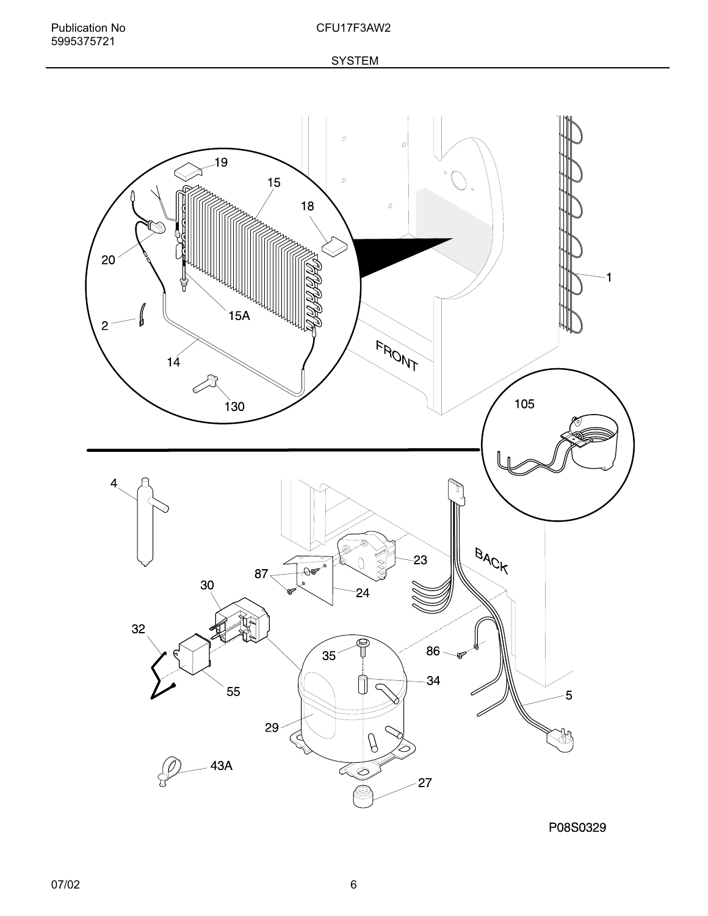

P08S0329